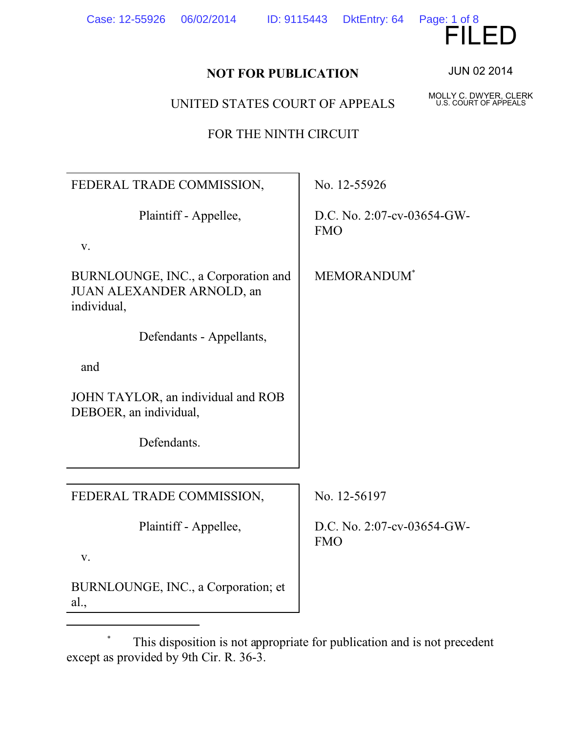| TOR THE NINTH CIRCOLI                                                           |                                          |
|---------------------------------------------------------------------------------|------------------------------------------|
|                                                                                 |                                          |
| FEDERAL TRADE COMMISSION,                                                       | No. 12-55926                             |
| Plaintiff - Appellee,                                                           | D.C. No. 2:07-cv-03654-GW-<br><b>FMO</b> |
| V.                                                                              |                                          |
| BURNLOUNGE, INC., a Corporation and<br>JUAN ALEXANDER ARNOLD, an<br>individual, | MEMORANDUM <sup>*</sup>                  |
| Defendants - Appellants,                                                        |                                          |
| and                                                                             |                                          |
| JOHN TAYLOR, an individual and ROB<br>DEBOER, an individual,                    |                                          |
| Defendants.                                                                     |                                          |
|                                                                                 |                                          |
| FEDERAL TRADE COMMISSION,                                                       | No. 12-56197                             |
| Plaintiff - Appellee,                                                           | D.C. No. 2:07-cv-03654-GW-<br><b>FMO</b> |
| V.                                                                              |                                          |
| BURNLOUNGE, INC., a Corporation; et<br>al.,                                     |                                          |

JUN 02 2014

Page: 1 of 8

MOLLY C. DWYER, CLERK U.S. COURT OF APPEALS

## **NOT FOR PUBLICATION**

UNITED STATES COURT OF APPEALS

FOR THE NINTH CIRCUIT

Case: 12-55926 06/02/2014 ID: 9115443 DktEntry: 64

 <sup>\*</sup> This disposition is not appropriate for publication and is not precedent except as provided by 9th Cir. R. 36-3.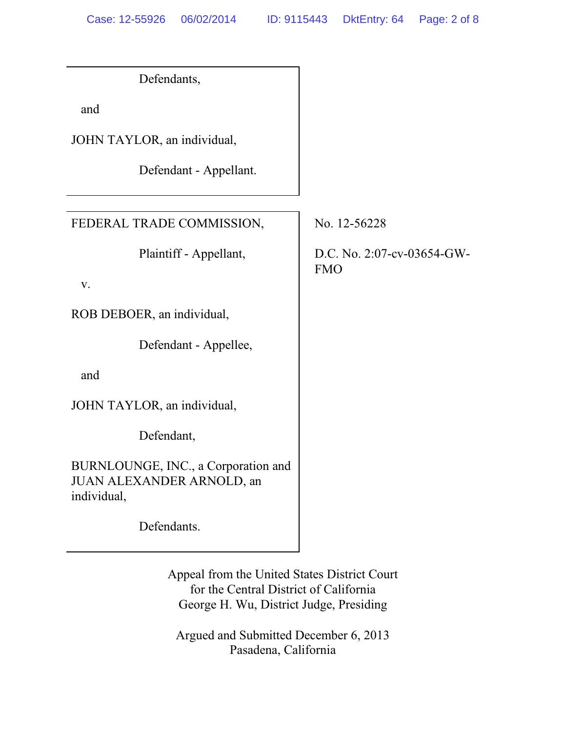| Defendants,                                                                     |                                          |
|---------------------------------------------------------------------------------|------------------------------------------|
| and                                                                             |                                          |
| JOHN TAYLOR, an individual,                                                     |                                          |
| Defendant - Appellant.                                                          |                                          |
|                                                                                 |                                          |
| FEDERAL TRADE COMMISSION,                                                       | No. 12-56228                             |
| Plaintiff - Appellant,                                                          | D.C. No. 2:07-cv-03654-GW-<br><b>FMO</b> |
| V.                                                                              |                                          |
| ROB DEBOER, an individual,                                                      |                                          |
| Defendant - Appellee,                                                           |                                          |
| and                                                                             |                                          |
| JOHN TAYLOR, an individual,                                                     |                                          |
| Defendant,                                                                      |                                          |
| BURNLOUNGE, INC., a Corporation and<br>JUAN ALEXANDER ARNOLD, an<br>individual, |                                          |
| Defendants.                                                                     |                                          |

Appeal from the United States District Court for the Central District of California George H. Wu, District Judge, Presiding

Argued and Submitted December 6, 2013 Pasadena, California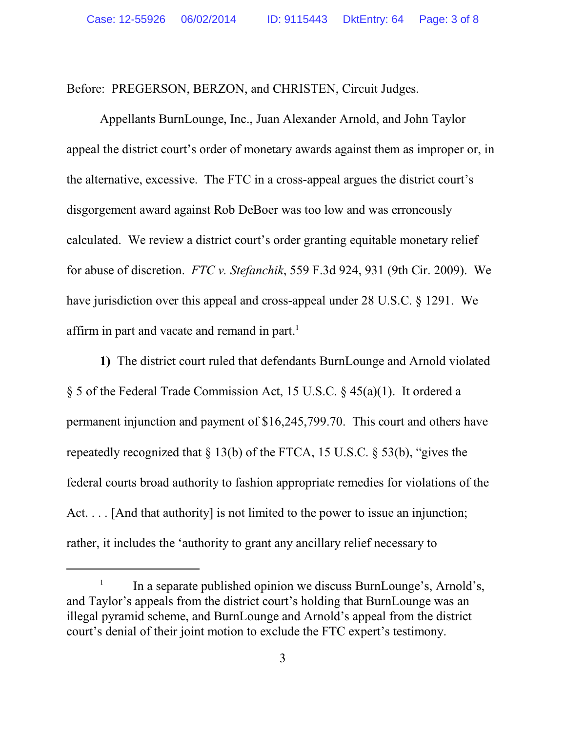Before: PREGERSON, BERZON, and CHRISTEN, Circuit Judges.

Appellants BurnLounge, Inc., Juan Alexander Arnold, and John Taylor appeal the district court's order of monetary awards against them as improper or, in the alternative, excessive. The FTC in a cross-appeal argues the district court's disgorgement award against Rob DeBoer was too low and was erroneously calculated. We review a district court's order granting equitable monetary relief for abuse of discretion. *FTC v. Stefanchik*, 559 F.3d 924, 931 (9th Cir. 2009). We have jurisdiction over this appeal and cross-appeal under 28 U.S.C. § 1291. We affirm in part and vacate and remand in part.<sup>1</sup>

**1)** The district court ruled that defendants BurnLounge and Arnold violated § 5 of the Federal Trade Commission Act, 15 U.S.C. § 45(a)(1). It ordered a permanent injunction and payment of \$16,245,799.70. This court and others have repeatedly recognized that  $\S 13(b)$  of the FTCA, 15 U.S.C.  $\S 53(b)$ , "gives the federal courts broad authority to fashion appropriate remedies for violations of the Act. . . . [And that authority] is not limited to the power to issue an injunction; rather, it includes the 'authority to grant any ancillary relief necessary to

<sup>1</sup> In a separate published opinion we discuss BurnLounge's, Arnold's, and Taylor's appeals from the district court's holding that BurnLounge was an illegal pyramid scheme, and BurnLounge and Arnold's appeal from the district court's denial of their joint motion to exclude the FTC expert's testimony.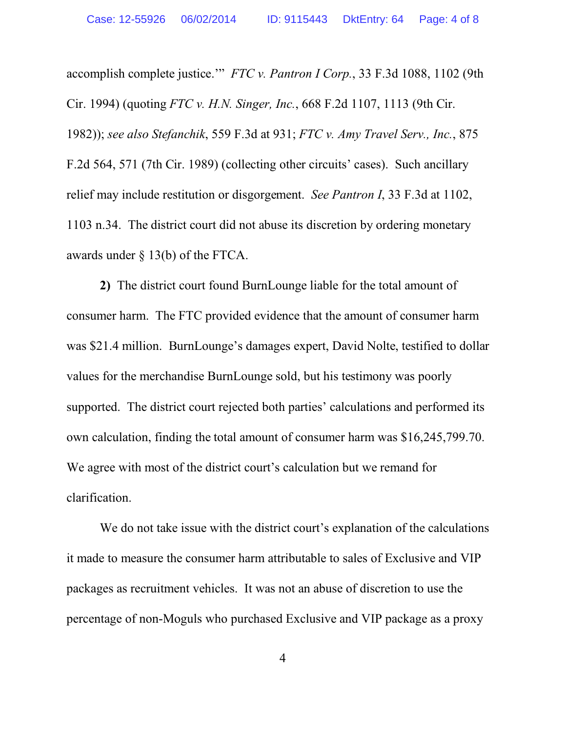accomplish complete justice.'" *FTC v. Pantron I Corp.*, 33 F.3d 1088, 1102 (9th Cir. 1994) (quoting *FTC v. H.N. Singer, Inc.*, 668 F.2d 1107, 1113 (9th Cir. 1982)); *see also Stefanchik*, 559 F.3d at 931; *FTC v. Amy Travel Serv., Inc.*, 875 F.2d 564, 571 (7th Cir. 1989) (collecting other circuits' cases). Such ancillary relief may include restitution or disgorgement. *See Pantron I*, 33 F.3d at 1102, 1103 n.34. The district court did not abuse its discretion by ordering monetary awards under § 13(b) of the FTCA.

**2)** The district court found BurnLounge liable for the total amount of consumer harm. The FTC provided evidence that the amount of consumer harm was \$21.4 million. BurnLounge's damages expert, David Nolte, testified to dollar values for the merchandise BurnLounge sold, but his testimony was poorly supported. The district court rejected both parties' calculations and performed its own calculation, finding the total amount of consumer harm was \$16,245,799.70. We agree with most of the district court's calculation but we remand for clarification.

We do not take issue with the district court's explanation of the calculations it made to measure the consumer harm attributable to sales of Exclusive and VIP packages as recruitment vehicles. It was not an abuse of discretion to use the percentage of non-Moguls who purchased Exclusive and VIP package as a proxy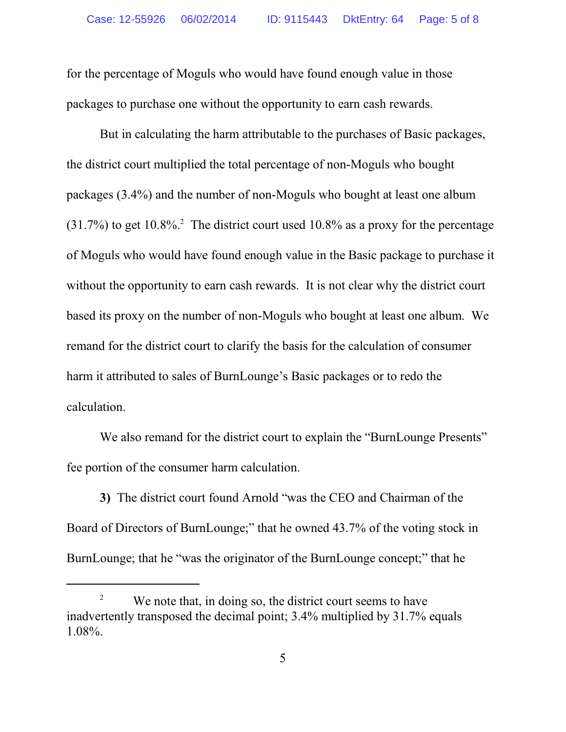for the percentage of Moguls who would have found enough value in those packages to purchase one without the opportunity to earn cash rewards.

But in calculating the harm attributable to the purchases of Basic packages, the district court multiplied the total percentage of non-Moguls who bought packages (3.4%) and the number of non-Moguls who bought at least one album  $(31.7%)$  to get 10.8%.<sup>2</sup> The district court used 10.8% as a proxy for the percentage of Moguls who would have found enough value in the Basic package to purchase it without the opportunity to earn cash rewards. It is not clear why the district court based its proxy on the number of non-Moguls who bought at least one album. We remand for the district court to clarify the basis for the calculation of consumer harm it attributed to sales of BurnLounge's Basic packages or to redo the calculation.

We also remand for the district court to explain the "BurnLounge Presents" fee portion of the consumer harm calculation.

**3)** The district court found Arnold "was the CEO and Chairman of the Board of Directors of BurnLounge;" that he owned 43.7% of the voting stock in BurnLounge; that he "was the originator of the BurnLounge concept;" that he

<sup>&</sup>lt;sup>2</sup> We note that, in doing so, the district court seems to have inadvertently transposed the decimal point; 3.4% multiplied by 31.7% equals 1.08%.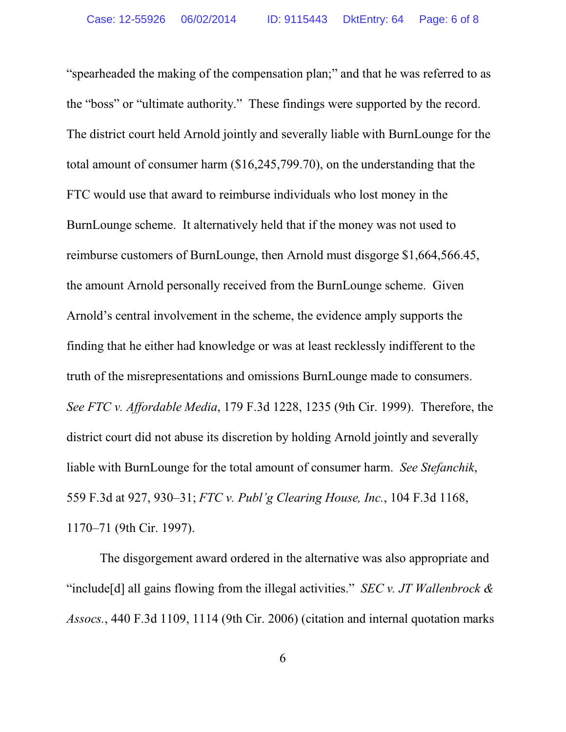"spearheaded the making of the compensation plan;" and that he was referred to as the "boss" or "ultimate authority." These findings were supported by the record. The district court held Arnold jointly and severally liable with BurnLounge for the total amount of consumer harm (\$16,245,799.70), on the understanding that the FTC would use that award to reimburse individuals who lost money in the BurnLounge scheme. It alternatively held that if the money was not used to reimburse customers of BurnLounge, then Arnold must disgorge \$1,664,566.45, the amount Arnold personally received from the BurnLounge scheme. Given Arnold's central involvement in the scheme, the evidence amply supports the finding that he either had knowledge or was at least recklessly indifferent to the truth of the misrepresentations and omissions BurnLounge made to consumers. *See FTC v. Affordable Media*, 179 F.3d 1228, 1235 (9th Cir. 1999). Therefore, the district court did not abuse its discretion by holding Arnold jointly and severally liable with BurnLounge for the total amount of consumer harm. *See Stefanchik*, 559 F.3d at 927, 930–31; *FTC v. Publ'g Clearing House, Inc.*, 104 F.3d 1168, 1170–71 (9th Cir. 1997).

The disgorgement award ordered in the alternative was also appropriate and "include[d] all gains flowing from the illegal activities." *SEC v. JT Wallenbrock & Assocs.*, 440 F.3d 1109, 1114 (9th Cir. 2006) (citation and internal quotation marks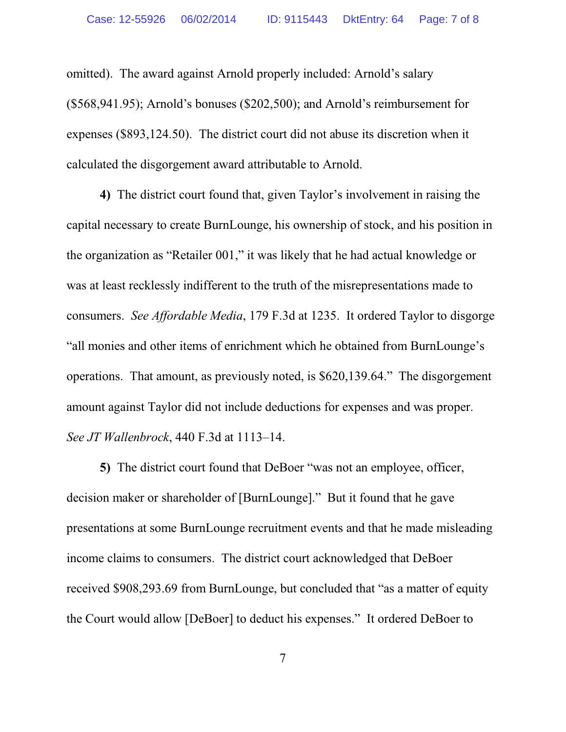omitted). The award against Arnold properly included: Arnold's salary (\$568,941.95); Arnold's bonuses (\$202,500); and Arnold's reimbursement for expenses (\$893,124.50). The district court did not abuse its discretion when it calculated the disgorgement award attributable to Arnold.

**4)** The district court found that, given Taylor's involvement in raising the capital necessary to create BurnLounge, his ownership of stock, and his position in the organization as "Retailer 001," it was likely that he had actual knowledge or was at least recklessly indifferent to the truth of the misrepresentations made to consumers. *See Affordable Media*, 179 F.3d at 1235. It ordered Taylor to disgorge "all monies and other items of enrichment which he obtained from BurnLounge's operations. That amount, as previously noted, is \$620,139.64." The disgorgement amount against Taylor did not include deductions for expenses and was proper. *See JT Wallenbrock*, 440 F.3d at 1113–14.

**5)** The district court found that DeBoer "was not an employee, officer, decision maker or shareholder of [BurnLounge]." But it found that he gave presentations at some BurnLounge recruitment events and that he made misleading income claims to consumers. The district court acknowledged that DeBoer received \$908,293.69 from BurnLounge, but concluded that "as a matter of equity the Court would allow [DeBoer] to deduct his expenses." It ordered DeBoer to

7